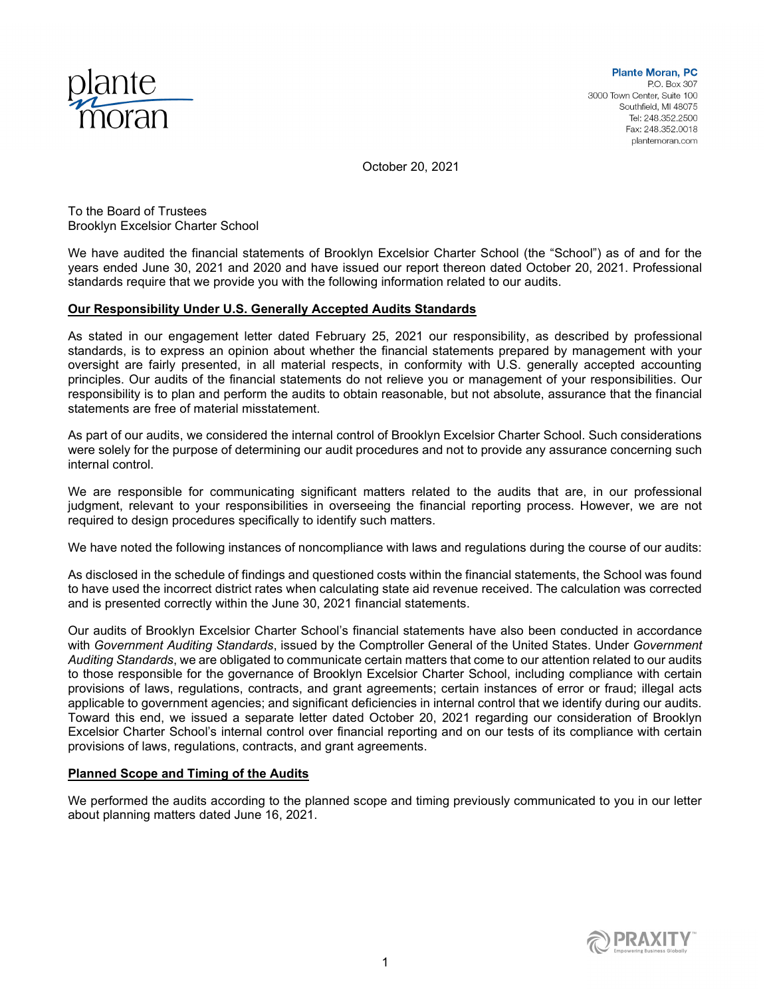

October 20, 2021

To the Board of Trustees Brooklyn Excelsior Charter School

We have audited the financial statements of Brooklyn Excelsior Charter School (the "School") as of and for the years ended June 30, 2021 and 2020 and have issued our report thereon dated October 20, 2021. Professional standards require that we provide you with the following information related to our audits.

# Our Responsibility Under U.S. Generally Accepted Audits Standards

As stated in our engagement letter dated February 25, 2021 our responsibility, as described by professional standards, is to express an opinion about whether the financial statements prepared by management with your oversight are fairly presented, in all material respects, in conformity with U.S. generally accepted accounting principles. Our audits of the financial statements do not relieve you or management of your responsibilities. Our responsibility is to plan and perform the audits to obtain reasonable, but not absolute, assurance that the financial statements are free of material misstatement.

As part of our audits, we considered the internal control of Brooklyn Excelsior Charter School. Such considerations were solely for the purpose of determining our audit procedures and not to provide any assurance concerning such internal control.

We are responsible for communicating significant matters related to the audits that are, in our professional judgment, relevant to your responsibilities in overseeing the financial reporting process. However, we are not required to design procedures specifically to identify such matters.

We have noted the following instances of noncompliance with laws and regulations during the course of our audits:

As disclosed in the schedule of findings and questioned costs within the financial statements, the School was found to have used the incorrect district rates when calculating state aid revenue received. The calculation was corrected and is presented correctly within the June 30, 2021 financial statements.

Our audits of Brooklyn Excelsior Charter School's financial statements have also been conducted in accordance with Government Auditing Standards, issued by the Comptroller General of the United States. Under Government Auditing Standards, we are obligated to communicate certain matters that come to our attention related to our audits to those responsible for the governance of Brooklyn Excelsior Charter School, including compliance with certain provisions of laws, regulations, contracts, and grant agreements; certain instances of error or fraud; illegal acts applicable to government agencies; and significant deficiencies in internal control that we identify during our audits. Toward this end, we issued a separate letter dated October 20, 2021 regarding our consideration of Brooklyn Excelsior Charter School's internal control over financial reporting and on our tests of its compliance with certain provisions of laws, regulations, contracts, and grant agreements.

# Planned Scope and Timing of the Audits

We performed the audits according to the planned scope and timing previously communicated to you in our letter about planning matters dated June 16, 2021.

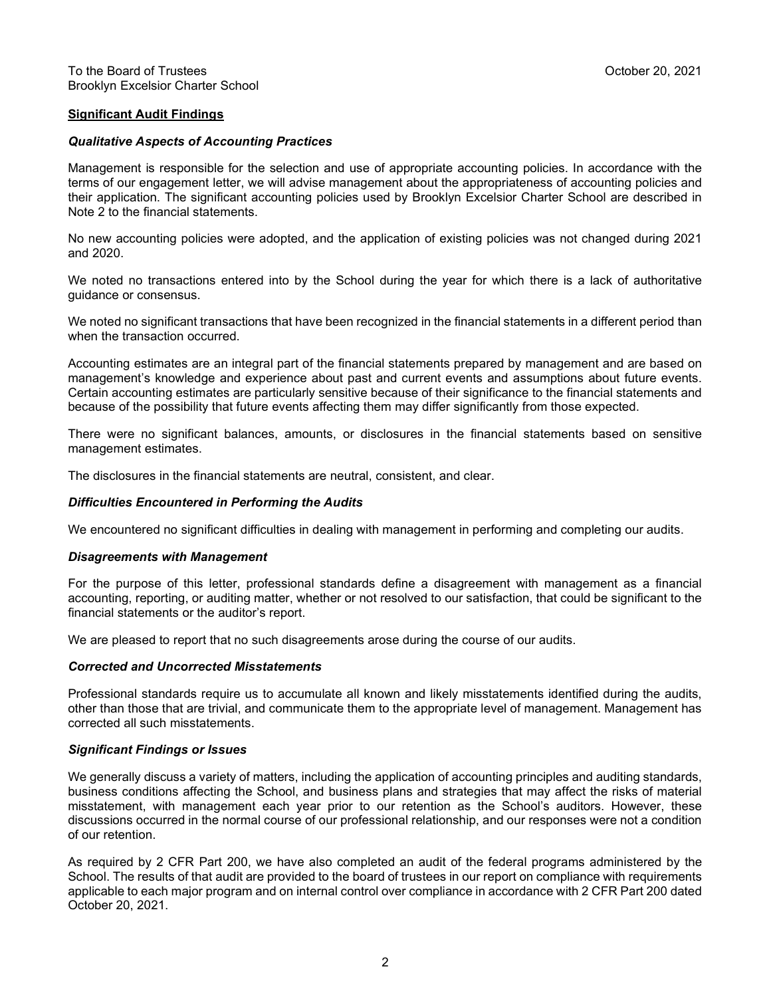# Significant Audit Findings

#### Qualitative Aspects of Accounting Practices

Management is responsible for the selection and use of appropriate accounting policies. In accordance with the terms of our engagement letter, we will advise management about the appropriateness of accounting policies and their application. The significant accounting policies used by Brooklyn Excelsior Charter School are described in Note 2 to the financial statements.

No new accounting policies were adopted, and the application of existing policies was not changed during 2021 and 2020.

We noted no transactions entered into by the School during the year for which there is a lack of authoritative guidance or consensus.

We noted no significant transactions that have been recognized in the financial statements in a different period than when the transaction occurred.

Accounting estimates are an integral part of the financial statements prepared by management and are based on management's knowledge and experience about past and current events and assumptions about future events. Certain accounting estimates are particularly sensitive because of their significance to the financial statements and because of the possibility that future events affecting them may differ significantly from those expected.

There were no significant balances, amounts, or disclosures in the financial statements based on sensitive management estimates.

The disclosures in the financial statements are neutral, consistent, and clear.

#### Difficulties Encountered in Performing the Audits

We encountered no significant difficulties in dealing with management in performing and completing our audits.

#### Disagreements with Management

For the purpose of this letter, professional standards define a disagreement with management as a financial accounting, reporting, or auditing matter, whether or not resolved to our satisfaction, that could be significant to the financial statements or the auditor's report.

We are pleased to report that no such disagreements arose during the course of our audits.

### Corrected and Uncorrected Misstatements

Professional standards require us to accumulate all known and likely misstatements identified during the audits, other than those that are trivial, and communicate them to the appropriate level of management. Management has corrected all such misstatements.

#### Significant Findings or Issues

We generally discuss a variety of matters, including the application of accounting principles and auditing standards, business conditions affecting the School, and business plans and strategies that may affect the risks of material misstatement, with management each year prior to our retention as the School's auditors. However, these discussions occurred in the normal course of our professional relationship, and our responses were not a condition of our retention.

As required by 2 CFR Part 200, we have also completed an audit of the federal programs administered by the School. The results of that audit are provided to the board of trustees in our report on compliance with requirements applicable to each major program and on internal control over compliance in accordance with 2 CFR Part 200 dated October 20, 2021.